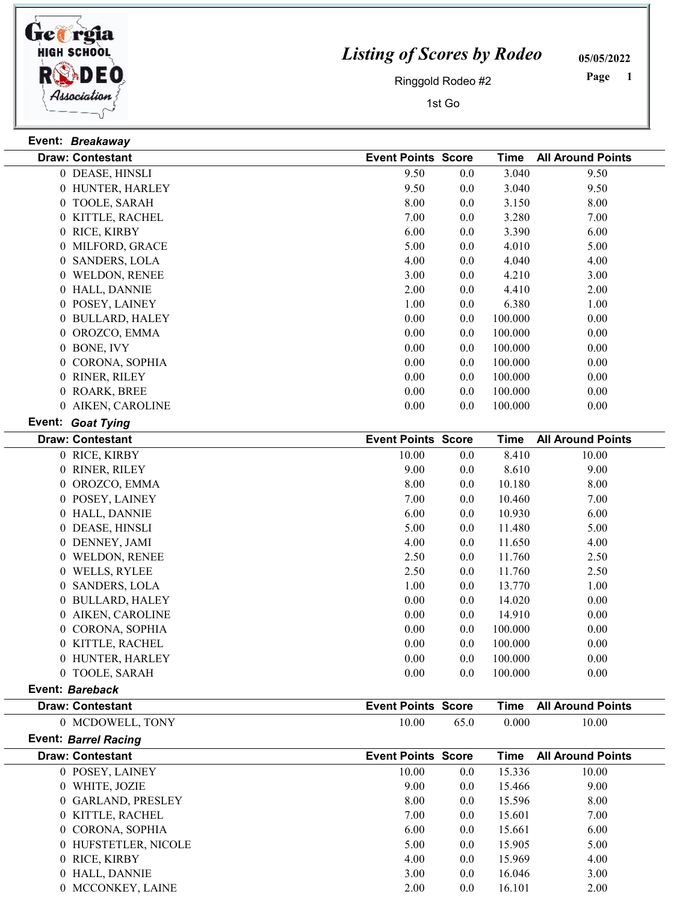

## Listing of Scores by Rodeo

05/05/2022

Ringgold Rodeo #2

1st Go

 Page

|                | Event: Breakaway                           |                           |      |                    |                          |
|----------------|--------------------------------------------|---------------------------|------|--------------------|--------------------------|
|                | <b>Draw: Contestant</b>                    | <b>Event Points Score</b> |      | <b>Time</b>        | <b>All Around Points</b> |
|                | 0 DEASE, HINSLI                            | 9.50                      | 0.0  | 3.040              | 9.50                     |
|                | 0 HUNTER, HARLEY                           | 9.50                      | 0.0  | 3.040              | 9.50                     |
|                | 0 TOOLE, SARAH                             | 8.00                      | 0.0  | 3.150              | 8.00                     |
|                | 0 KITTLE, RACHEL                           | 7.00                      | 0.0  | 3.280              | 7.00                     |
|                | 0 RICE, KIRBY                              | 6.00                      | 0.0  | 3.390              | 6.00                     |
|                | 0 MILFORD, GRACE                           | 5.00                      | 0.0  | 4.010              | 5.00                     |
|                | 0 SANDERS, LOLA                            | 4.00                      | 0.0  | 4.040              | 4.00                     |
|                | 0 WELDON, RENEE                            | 3.00                      | 0.0  | 4.210              | 3.00                     |
|                | 0 HALL, DANNIE                             | 2.00                      | 0.0  | 4.410              | 2.00                     |
|                | 0 POSEY, LAINEY                            | 1.00                      | 0.0  | 6.380              | 1.00                     |
|                | 0 BULLARD, HALEY                           | 0.00                      | 0.0  | 100.000            | 0.00                     |
|                | 0 OROZCO, EMMA                             | 0.00                      | 0.0  | 100.000            | 0.00                     |
|                | 0 BONE, IVY                                | $0.00\,$                  | 0.0  | 100.000            | 0.00                     |
|                | 0 CORONA, SOPHIA                           | $0.00\,$                  | 0.0  | 100.000            | 0.00                     |
|                | 0 RINER, RILEY                             | 0.00                      | 0.0  | 100.000            | 0.00                     |
|                | 0 ROARK, BREE                              | 0.00                      | 0.0  | 100.000            | 0.00                     |
|                | 0 AIKEN, CAROLINE                          | 0.00                      | 0.0  | 100.000            | 0.00                     |
|                | Event: Goat Tying                          |                           |      |                    |                          |
|                | <b>Draw: Contestant</b>                    | <b>Event Points Score</b> |      | <b>Time</b>        | <b>All Around Points</b> |
|                | 0 RICE, KIRBY                              | 10.00                     | 0.0  | 8.410              | 10.00                    |
|                | 0 RINER, RILEY                             | 9.00                      | 0.0  | 8.610              | 9.00                     |
|                | 0 OROZCO, EMMA                             | 8.00                      | 0.0  | 10.180             | 8.00                     |
|                | 0 POSEY, LAINEY                            | 7.00                      | 0.0  | 10.460             | 7.00                     |
|                | 0 HALL, DANNIE                             | 6.00                      | 0.0  | 10.930             | 6.00                     |
|                | 0 DEASE, HINSLI                            | 5.00                      | 0.0  | 11.480             | 5.00                     |
|                | 0 DENNEY, JAMI                             | 4.00                      | 0.0  | 11.650             | 4.00                     |
|                | 0 WELDON, RENEE                            | 2.50                      | 0.0  | 11.760             | 2.50                     |
|                | 0 WELLS, RYLEE                             | 2.50                      | 0.0  | 11.760             | 2.50                     |
| $\overline{0}$ | <b>SANDERS, LOLA</b>                       | 1.00                      | 0.0  | 13.770             | 1.00                     |
|                | 0 BULLARD, HALEY                           | 0.00                      | 0.0  | 14.020             | 0.00                     |
|                |                                            | 0.00                      |      | 14.910             |                          |
|                | 0 AIKEN, CAROLINE                          | 0.00                      | 0.0  | 100.000            | 0.00                     |
|                | 0 CORONA, SOPHIA                           |                           | 0.0  |                    | 0.00                     |
|                | 0 KITTLE, RACHEL                           | 0.00                      | 0.0  | 100.000            | 0.00                     |
|                | 0 HUNTER, HARLEY                           | 0.00                      | 0.0  | 100.000<br>100.000 | 0.00                     |
|                | 0 TOOLE, SARAH                             | 0.00                      | 0.0  |                    | 0.00                     |
|                | Event: Bareback<br><b>Draw: Contestant</b> | <b>Event Points Score</b> |      | <b>Time</b>        | <b>All Around Points</b> |
|                | 0 MCDOWELL, TONY                           | 10.00                     | 65.0 | 0.000              | 10.00                    |
|                | <b>Event: Barrel Racing</b>                |                           |      |                    |                          |
|                | <b>Draw: Contestant</b>                    | <b>Event Points Score</b> |      | <b>Time</b>        | <b>All Around Points</b> |
|                | 0 POSEY, LAINEY                            | 10.00                     | 0.0  | 15.336             | 10.00                    |
|                | 0 WHITE, JOZIE                             | 9.00                      | 0.0  | 15.466             | 9.00                     |
|                | 0 GARLAND, PRESLEY                         | 8.00                      | 0.0  | 15.596             | 8.00                     |
|                | 0 KITTLE, RACHEL                           | 7.00                      | 0.0  | 15.601             | 7.00                     |
|                | 0 CORONA, SOPHIA                           | 6.00                      |      | 15.661             | 6.00                     |
|                | 0 HUFSTETLER, NICOLE                       | 5.00                      | 0.0  | 15.905             |                          |
|                |                                            |                           | 0.0  |                    | 5.00                     |
|                | 0 RICE, KIRBY                              | 4.00                      | 0.0  | 15.969             | 4.00                     |
|                | 0 HALL, DANNIE                             | 3.00                      | 0.0  | 16.046             | 3.00                     |
|                | 0 MCCONKEY, LAINE                          | 2.00                      | 0.0  | 16.101             | 2.00                     |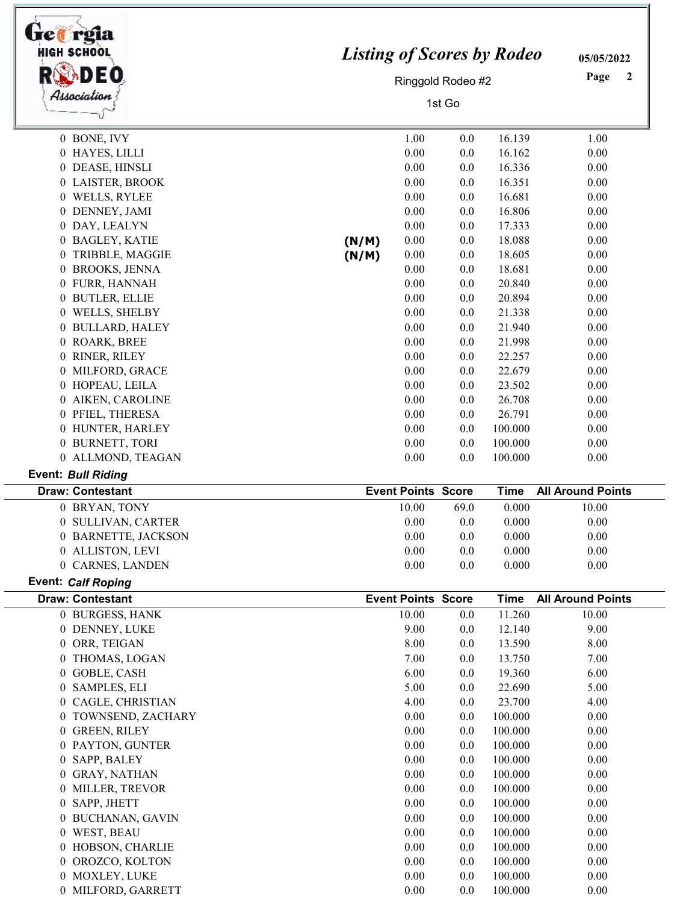| <b>Tref</b> reia<br><b>HIGH SCHOOL</b><br>Association | <b>Listing of Scores by Rodeo</b><br>Ringgold Rodeo #2<br>1st Go |                                    |            |                       | 05/05/2022<br>Page<br>$\boldsymbol{2}$ |
|-------------------------------------------------------|------------------------------------------------------------------|------------------------------------|------------|-----------------------|----------------------------------------|
| 0 BONE, IVY                                           |                                                                  | 1.00                               | 0.0        | 16.139                | 1.00                                   |
| 0 HAYES, LILLI                                        |                                                                  | 0.00                               | 0.0        | 16.162                | 0.00                                   |
| 0 DEASE, HINSLI                                       |                                                                  | 0.00                               | 0.0        | 16.336                | 0.00                                   |
| 0 LAISTER, BROOK                                      |                                                                  | 0.00                               | 0.0        | 16.351                | 0.00                                   |
| 0 WELLS, RYLEE                                        |                                                                  | 0.00                               | 0.0        | 16.681                | 0.00                                   |
| 0 DENNEY, JAMI                                        |                                                                  | 0.00                               | 0.0        | 16.806                | 0.00                                   |
| 0 DAY, LEALYN                                         |                                                                  | 0.00                               | 0.0        | 17.333                | 0.00                                   |
| 0 BAGLEY, KATIE                                       | (N/M)                                                            | 0.00                               | 0.0        | 18.088                | 0.00                                   |
| 0 TRIBBLE, MAGGIE                                     | (N/M)                                                            | 0.00                               | 0.0        | 18.605                | 0.00                                   |
| 0 BROOKS, JENNA                                       |                                                                  | 0.00                               | 0.0        | 18.681                | 0.00                                   |
| 0 FURR, HANNAH                                        |                                                                  | 0.00                               | 0.0        | 20.840                | 0.00                                   |
| 0 BUTLER, ELLIE                                       |                                                                  | 0.00                               | 0.0        | 20.894                | 0.00                                   |
| 0 WELLS, SHELBY                                       |                                                                  | 0.00                               | 0.0        | 21.338                | 0.00                                   |
| 0 BULLARD, HALEY                                      |                                                                  | 0.00                               | 0.0        | 21.940                | 0.00                                   |
| 0 ROARK, BREE                                         |                                                                  | 0.00                               | 0.0        | 21.998                | 0.00                                   |
| 0 RINER, RILEY                                        |                                                                  | 0.00                               | 0.0        | 22.257                | 0.00                                   |
| 0 MILFORD, GRACE                                      |                                                                  | 0.00                               | 0.0        | 22.679                | 0.00                                   |
| 0 HOPEAU, LEILA                                       |                                                                  | 0.00                               | 0.0        | 23.502                | 0.00                                   |
| 0 AIKEN, CAROLINE                                     |                                                                  | 0.00                               | 0.0        | 26.708                | 0.00                                   |
| 0 PFIEL, THERESA                                      |                                                                  | 0.00<br>0.00                       | 0.0        | 26.791                | 0.00                                   |
| 0 HUNTER, HARLEY                                      |                                                                  | 0.00                               | 0.0        | 100.000<br>100.000    | 0.00                                   |
| 0 BURNETT, TORI<br>0 ALLMOND, TEAGAN                  |                                                                  | 0.00                               | 0.0<br>0.0 | 100.000               | 0.00<br>0.00                           |
| <b>Event: Bull Riding</b>                             |                                                                  |                                    |            |                       |                                        |
| <b>Draw: Contestant</b>                               |                                                                  | <b>Event Points Score</b>          |            | <b>Time</b>           | <b>All Around Points</b>               |
| 0 BRYAN, TONY                                         |                                                                  | 10.00                              | 69.0       | 0.000                 | 10.00                                  |
| 0 SULLIVAN, CARTER                                    |                                                                  | 0.00                               | 0.0        | 0.000                 | 0.00                                   |
| 0 BARNETTE, JACKSON                                   |                                                                  | 0.00                               | 0.0        | 0.000                 | 0.00                                   |
| 0 ALLISTON, LEVI                                      |                                                                  | 0.00                               | 0.0        | 0.000                 | 0.00                                   |
| 0 CARNES, LANDEN                                      |                                                                  | 0.00                               | 0.0        | 0.000                 | 0.00                                   |
| <b>Event: Calf Roping</b>                             |                                                                  |                                    |            |                       |                                        |
| <b>Draw: Contestant</b><br>0 BURGESS, HANK            |                                                                  | <b>Event Points Score</b><br>10.00 | 0.0        | <b>Time</b><br>11.260 | <b>All Around Points</b><br>10.00      |
| 0 DENNEY, LUKE                                        |                                                                  | 9.00                               | 0.0        | 12.140                | 9.00                                   |
| 0 ORR, TEIGAN                                         |                                                                  | 8.00                               | 0.0        | 13.590                | 8.00                                   |
| 0 THOMAS, LOGAN                                       |                                                                  | 7.00                               | 0.0        | 13.750                | 7.00                                   |
| 0 GOBLE, CASH                                         |                                                                  | 6.00                               | 0.0        | 19.360                | 6.00                                   |
| 0 SAMPLES, ELI                                        |                                                                  | 5.00                               | 0.0        | 22.690                | 5.00                                   |
| 0 CAGLE, CHRISTIAN                                    |                                                                  | 4.00                               | 0.0        | 23.700                | 4.00                                   |
| 0 TOWNSEND, ZACHARY                                   |                                                                  | 0.00                               | 0.0        | 100.000               | 0.00                                   |
| 0 GREEN, RILEY                                        |                                                                  | 0.00                               | 0.0        | 100.000               | 0.00                                   |
| 0 PAYTON, GUNTER                                      |                                                                  | 0.00                               | 0.0        | 100.000               | 0.00                                   |
| SAPP, BALEY<br>0                                      |                                                                  | 0.00                               | 0.0        | 100.000               | 0.00                                   |
| <b>GRAY, NATHAN</b><br>0                              |                                                                  | 0.00                               | 0.0        | 100.000               | 0.00                                   |
| 0 MILLER, TREVOR                                      |                                                                  | 0.00                               | 0.0        | 100.000               | 0.00                                   |
| 0 SAPP, JHETT                                         |                                                                  | 0.00                               | 0.0        | 100.000               | 0.00                                   |
| 0 BUCHANAN, GAVIN                                     |                                                                  | 0.00                               | 0.0        | 100.000               | 0.00                                   |
| 0 WEST, BEAU                                          |                                                                  | 0.00                               | 0.0        | 100.000               | 0.00                                   |
| 0 HOBSON, CHARLIE                                     |                                                                  | 0.00                               | 0.0        | 100.000               | 0.00                                   |
| 0 OROZCO, KOLTON                                      |                                                                  | 0.00                               | 0.0        | 100.000               | 0.00                                   |
| 0 MOXLEY, LUKE                                        |                                                                  | 0.00                               | 0.0        | 100.000               | 0.00                                   |
| 0 MILFORD, GARRETT                                    |                                                                  | 0.00                               | 0.0        | 100.000               | 0.00                                   |

 $\overline{a}$ 

٦Ι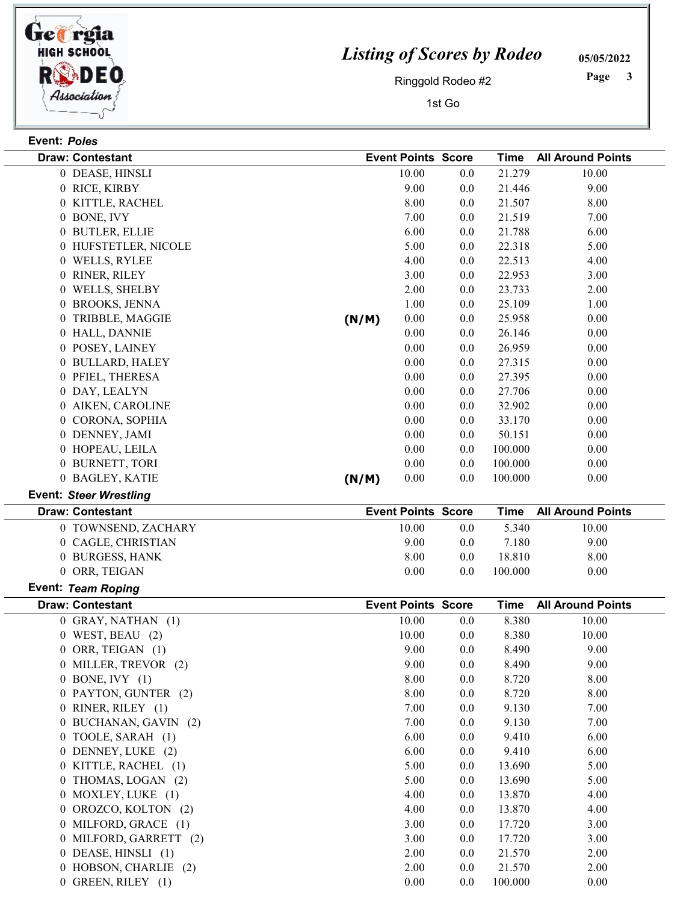

## Listing of Scores by Rodeo

05/05/2022

Ringgold Rodeo #2

1st Go

 Page

| Event: Poles   |                               |       |                           |     |             |                          |
|----------------|-------------------------------|-------|---------------------------|-----|-------------|--------------------------|
|                | <b>Draw: Contestant</b>       |       | <b>Event Points Score</b> |     | <b>Time</b> | <b>All Around Points</b> |
|                | 0 DEASE, HINSLI               |       | 10.00                     | 0.0 | 21.279      | 10.00                    |
|                | 0 RICE, KIRBY                 |       | 9.00                      | 0.0 | 21.446      | 9.00                     |
|                | 0 KITTLE, RACHEL              |       | 8.00                      | 0.0 | 21.507      | 8.00                     |
|                | 0 BONE, IVY                   |       | 7.00                      | 0.0 | 21.519      | 7.00                     |
|                | 0 BUTLER, ELLIE               |       | 6.00                      | 0.0 | 21.788      | 6.00                     |
|                | 0 HUFSTETLER, NICOLE          |       | 5.00                      | 0.0 | 22.318      | 5.00                     |
|                | 0 WELLS, RYLEE                |       | 4.00                      | 0.0 | 22.513      | 4.00                     |
|                | 0 RINER, RILEY                |       | 3.00                      | 0.0 | 22.953      | 3.00                     |
|                | 0 WELLS, SHELBY               |       | 2.00                      | 0.0 | 23.733      | 2.00                     |
|                | 0 BROOKS, JENNA               |       | 1.00                      | 0.0 | 25.109      | 1.00                     |
| $\overline{0}$ | TRIBBLE, MAGGIE               | (N/M) | 0.00                      | 0.0 | 25.958      | 0.00                     |
|                | 0 HALL, DANNIE                |       | 0.00                      | 0.0 | 26.146      | 0.00                     |
|                | 0 POSEY, LAINEY               |       | 0.00                      | 0.0 | 26.959      | 0.00                     |
|                | 0 BULLARD, HALEY              |       | 0.00                      | 0.0 | 27.315      | 0.00                     |
|                | 0 PFIEL, THERESA              |       | 0.00                      | 0.0 | 27.395      | 0.00                     |
|                | 0 DAY, LEALYN                 |       | 0.00                      | 0.0 | 27.706      | 0.00                     |
|                | 0 AIKEN, CAROLINE             |       | 0.00                      | 0.0 | 32.902      | 0.00                     |
|                | 0 CORONA, SOPHIA              |       | 0.00                      | 0.0 | 33.170      | 0.00                     |
|                | 0 DENNEY, JAMI                |       | 0.00                      | 0.0 | 50.151      | 0.00                     |
|                | 0 HOPEAU, LEILA               |       | 0.00                      | 0.0 | 100.000     | 0.00                     |
|                | 0 BURNETT, TORI               |       | 0.00                      | 0.0 | 100.000     | 0.00                     |
|                | 0 BAGLEY, KATIE               | (N/M) | 0.00                      | 0.0 | 100.000     | 0.00                     |
|                | <b>Event: Steer Wrestling</b> |       |                           |     |             |                          |
|                |                               |       |                           |     |             |                          |
|                |                               |       |                           |     |             |                          |
|                | <b>Draw: Contestant</b>       |       | <b>Event Points Score</b> |     | <b>Time</b> | <b>All Around Points</b> |
|                | 0 TOWNSEND, ZACHARY           |       | 10.00                     | 0.0 | 5.340       | 10.00                    |
|                | 0 CAGLE, CHRISTIAN            |       | 9.00                      | 0.0 | 7.180       | 9.00                     |
|                | 0 BURGESS, HANK               |       | 8.00                      | 0.0 | 18.810      | 8.00                     |
|                | 0 ORR, TEIGAN                 |       | 0.00                      | 0.0 | 100.000     | 0.00                     |
|                | Event: Team Roping            |       |                           |     |             |                          |
|                | <b>Draw: Contestant</b>       |       | <b>Event Points Score</b> |     | <b>Time</b> | <b>All Around Points</b> |
|                | 0 GRAY, NATHAN (1)            |       | 10.00                     | 0.0 | 8.380       | 10.00                    |
|                | $0$ WEST, BEAU $(2)$          |       | 10.00                     | 0.0 | 8.380       | 10.00                    |
|                | 0 ORR, TEIGAN (1)             |       | 9.00                      | 0.0 | 8.490       | 9.00                     |
|                | 0 MILLER, TREVOR (2)          |       | 9.00                      | 0.0 | 8.490       | 9.00                     |
|                | $0$ BONE, IVY $(1)$           |       | 8.00                      | 0.0 | 8.720       | 8.00                     |
|                | 0 PAYTON, GUNTER (2)          |       | 8.00                      | 0.0 | 8.720       | 8.00                     |
|                | 0 RINER, RILEY (1)            |       | 7.00                      | 0.0 | 9.130       | 7.00                     |
|                | 0 BUCHANAN, GAVIN (2)         |       | 7.00                      | 0.0 | 9.130       | 7.00                     |
|                | 0 TOOLE, SARAH (1)            |       | 6.00                      | 0.0 | 9.410       | 6.00                     |
|                | 0 DENNEY, LUKE (2)            |       | 6.00                      | 0.0 | 9.410       | 6.00                     |
|                | 0 KITTLE, RACHEL (1)          |       | 5.00                      | 0.0 | 13.690      | 5.00                     |
|                | 0 THOMAS, LOGAN (2)           |       | 5.00                      | 0.0 | 13.690      | 5.00                     |
|                | 0 MOXLEY, LUKE (1)            |       | 4.00                      | 0.0 | 13.870      | 4.00                     |
|                | 0 OROZCO, KOLTON (2)          |       | 4.00                      | 0.0 | 13.870      | 4.00                     |
|                | 0 MILFORD, GRACE (1)          |       | 3.00                      | 0.0 | 17.720      | 3.00                     |
|                | 0 MILFORD, GARRETT (2)        |       | 3.00                      | 0.0 | 17.720      | 3.00                     |

0 HOBSON, CHARLIE (2) 2.00 2.00 21.570 2.00 0 GREEN, RILEY (1) 0.00 0.00 0.00 0.00 0.00 0.00